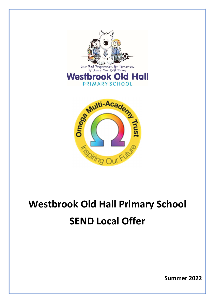

## Westbrook Old Hall Primary School SEND Local Offer

Summer 2022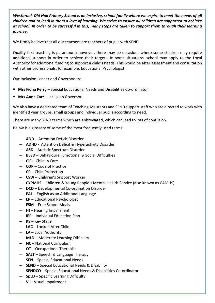Westbrook Old Hall Primary School is an inclusive, school family where we aspire to meet the needs of all children and to instil in them a love of learning. We strive to ensure all children are supported to achieve at school. In order to be successful in this, many steps are taken to support them through their learning journey.

We firmly believe that all our teachers are teachers of pupils with SEND.

Quality first teaching is paramount; however, there may be occasions where some children may require additional support in order to achieve their targets. In some situations, school may apply to the Local Authority for additional funding to support a child's needs. This would be after assessment and consultation with other professionals, for example, Educational Psychologist.

Our Inclusion Leader and Governor are:

- Mrs Fiona Perry Special Educational Needs and Disabilities Co-ordinator
- **Mrs Anne Carr** Inclusion Governor

We also have a dedicated team of Teaching Assistants and SEND support staff who are directed to work with identified year groups, small groups and individual pupils according to need.

There are many SEND terms which are abbreviated, which can lead to lots of confusion.

Below is a glossary of some of the most frequently used terms:

- **ADD** Attention Deficit Disorder
- **ADHD** Attention Deficit & Hyperactivity Disorder
- **ASD** Autistic Spectrum Disorder
- BESD Behavioural, Emotional & Social Difficulties
- $-$  CiC Child in Care
- $-$  **COP** Code of Practice
- CP Child Protection
- CSW Children's Support Worker
- CYPMHS Children & Young People's Mental Health Service (also known as CAMHS)
- $-$  DCD Developmental Co-ordination Disorder
- **EAL** English as an Additional Language
- $-$  **EP** Educational Psychologist
- FSM Free School Meals
- $-$  HI Hearing Impairment
- $-$  IEP Individual Education Plan
- $-$  KS Key Stage
- **LAC** Looked After Child
- LA Local Authority
- MLD Moderate Learning Difficulty
- NC National Curriculum
- $-$  OT Occupational Therapist
- $-$  **SALT** Speech & Language Therapy
- $-$  **SEN** Special Educational Needs
- $-$  SEND Special Educational Needs & Disability
- **SENDCO** Special Educational Needs & Disabilities Co-ordinator
- $-$  SpLD Specific Learning Difficulty
- VI Visual Impairment